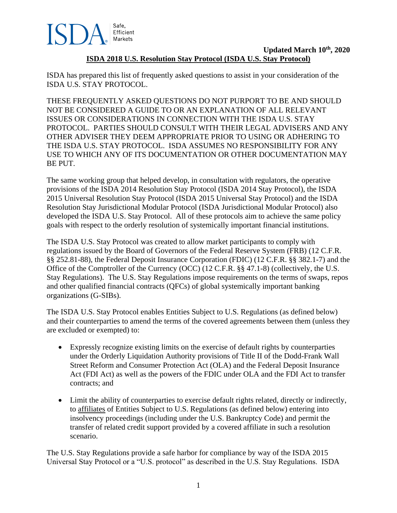

# **Updated March 10th, 2020 ISDA 2018 U.S. Resolution Stay Protocol (ISDA U.S. Stay Protocol)**

ISDA has prepared this list of frequently asked questions to assist in your consideration of the ISDA U.S. STAY PROTOCOL.

THESE FREQUENTLY ASKED QUESTIONS DO NOT PURPORT TO BE AND SHOULD NOT BE CONSIDERED A GUIDE TO OR AN EXPLANATION OF ALL RELEVANT ISSUES OR CONSIDERATIONS IN CONNECTION WITH THE ISDA U.S. STAY PROTOCOL. PARTIES SHOULD CONSULT WITH THEIR LEGAL ADVISERS AND ANY OTHER ADVISER THEY DEEM APPROPRIATE PRIOR TO USING OR ADHERING TO THE ISDA U.S. STAY PROTOCOL. ISDA ASSUMES NO RESPONSIBILITY FOR ANY USE TO WHICH ANY OF ITS DOCUMENTATION OR OTHER DOCUMENTATION MAY BE PUT.

The same working group that helped develop, in consultation with regulators, the operative provisions of the ISDA 2014 Resolution Stay Protocol (ISDA 2014 Stay Protocol), the ISDA 2015 Universal Resolution Stay Protocol (ISDA 2015 Universal Stay Protocol) and the ISDA Resolution Stay Jurisdictional Modular Protocol (ISDA Jurisdictional Modular Protocol) also developed the ISDA U.S. Stay Protocol. All of these protocols aim to achieve the same policy goals with respect to the orderly resolution of systemically important financial institutions.

The ISDA U.S. Stay Protocol was created to allow market participants to comply with regulations issued by the Board of Governors of the Federal Reserve System (FRB) (12 C.F.R. §§ 252.81-88), the Federal Deposit Insurance Corporation (FDIC) (12 C.F.R. §§ 382.1-7) and the Office of the Comptroller of the Currency (OCC) (12 C.F.R. §§ 47.1-8) (collectively, the U.S. Stay Regulations). The U.S. Stay Regulations impose requirements on the terms of swaps, repos and other qualified financial contracts (QFCs) of global systemically important banking organizations (G-SIBs).

The ISDA U.S. Stay Protocol enables Entities Subject to U.S. Regulations (as defined below) and their counterparties to amend the terms of the covered agreements between them (unless they are excluded or exempted) to:

- Expressly recognize existing limits on the exercise of default rights by counterparties under the Orderly Liquidation Authority provisions of Title II of the Dodd-Frank Wall Street Reform and Consumer Protection Act (OLA) and the Federal Deposit Insurance Act (FDI Act) as well as the powers of the FDIC under OLA and the FDI Act to transfer contracts; and
- Limit the ability of counterparties to exercise default rights related, directly or indirectly, to affiliates of Entities Subject to U.S. Regulations (as defined below) entering into insolvency proceedings (including under the U.S. Bankruptcy Code) and permit the transfer of related credit support provided by a covered affiliate in such a resolution scenario.

The U.S. Stay Regulations provide a safe harbor for compliance by way of the ISDA 2015 Universal Stay Protocol or a "U.S. protocol" as described in the U.S. Stay Regulations. ISDA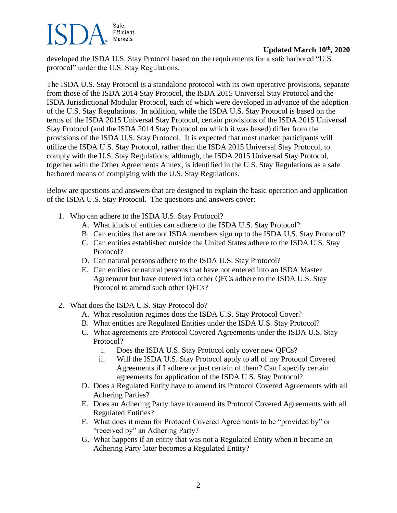## Safe, Efficient Markets

# **Updated March 10th, 2020**

developed the ISDA U.S. Stay Protocol based on the requirements for a safe harbored "U.S. protocol" under the U.S. Stay Regulations.

The ISDA U.S. Stay Protocol is a standalone protocol with its own operative provisions, separate from those of the ISDA 2014 Stay Protocol, the ISDA 2015 Universal Stay Protocol and the ISDA Jurisdictional Modular Protocol, each of which were developed in advance of the adoption of the U.S. Stay Regulations. In addition, while the ISDA U.S. Stay Protocol is based on the terms of the ISDA 2015 Universal Stay Protocol, certain provisions of the ISDA 2015 Universal Stay Protocol (and the ISDA 2014 Stay Protocol on which it was based) differ from the provisions of the ISDA U.S. Stay Protocol. It is expected that most market participants will utilize the ISDA U.S. Stay Protocol, rather than the ISDA 2015 Universal Stay Protocol, to comply with the U.S. Stay Regulations; although, the ISDA 2015 Universal Stay Protocol, together with the Other Agreements Annex, is identified in the U.S. Stay Regulations as a safe harbored means of complying with the U.S. Stay Regulations.

Below are questions and answers that are designed to explain the basic operation and application of the ISDA U.S. Stay Protocol. The questions and answers cover:

- 1. Who can adhere to the ISDA U.S. Stay Protocol?
	- A. What kinds of entities can adhere to the ISDA U.S. Stay Protocol?
	- B. Can entities that are not ISDA members sign up to the ISDA U.S. Stay Protocol?
	- C. Can entities established outside the United States adhere to the ISDA U.S. Stay Protocol?
	- D. Can natural persons adhere to the ISDA U.S. Stay Protocol?
	- E. Can entities or natural persons that have not entered into an ISDA Master Agreement but have entered into other QFCs adhere to the ISDA U.S. Stay Protocol to amend such other QFCs?
- 2. What does the ISDA U.S. Stay Protocol do?
	- A. What resolution regimes does the ISDA U.S. Stay Protocol Cover?
	- B. What entities are Regulated Entities under the ISDA U.S. Stay Protocol?
	- C. What agreements are Protocol Covered Agreements under the ISDA U.S. Stay Protocol?
		- i. Does the ISDA U.S. Stay Protocol only cover new QFCs?
		- ii. Will the ISDA U.S. Stay Protocol apply to all of my Protocol Covered Agreements if I adhere or just certain of them? Can I specify certain agreements for application of the ISDA U.S. Stay Protocol?
	- D. Does a Regulated Entity have to amend its Protocol Covered Agreements with all Adhering Parties?
	- E. Does an Adhering Party have to amend its Protocol Covered Agreements with all Regulated Entities?
	- F. What does it mean for Protocol Covered Agreements to be "provided by" or "received by" an Adhering Party?
	- G. What happens if an entity that was not a Regulated Entity when it became an Adhering Party later becomes a Regulated Entity?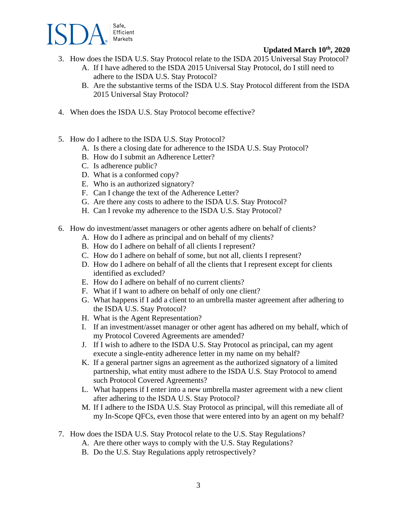

- 3. How does the ISDA U.S. Stay Protocol relate to the ISDA 2015 Universal Stay Protocol?
	- A. If I have adhered to the ISDA 2015 Universal Stay Protocol, do I still need to adhere to the ISDA U.S. Stay Protocol?
	- B. Are the substantive terms of the ISDA U.S. Stay Protocol different from the ISDA 2015 Universal Stay Protocol?
- 4. When does the ISDA U.S. Stay Protocol become effective?
- 5. How do I adhere to the ISDA U.S. Stay Protocol?
	- A. Is there a closing date for adherence to the ISDA U.S. Stay Protocol?
	- B. How do I submit an Adherence Letter?
	- C. Is adherence public?
	- D. What is a conformed copy?
	- E. Who is an authorized signatory?
	- F. Can I change the text of the Adherence Letter?
	- G. Are there any costs to adhere to the ISDA U.S. Stay Protocol?
	- H. Can I revoke my adherence to the ISDA U.S. Stay Protocol?
- 6. How do investment/asset managers or other agents adhere on behalf of clients?
	- A. How do I adhere as principal and on behalf of my clients?
	- B. How do I adhere on behalf of all clients I represent?
	- C. How do I adhere on behalf of some, but not all, clients I represent?
	- D. How do I adhere on behalf of all the clients that I represent except for clients identified as excluded?
	- E. How do I adhere on behalf of no current clients?
	- F. What if I want to adhere on behalf of only one client?
	- G. What happens if I add a client to an umbrella master agreement after adhering to the ISDA U.S. Stay Protocol?
	- H. What is the Agent Representation?
	- I. If an investment/asset manager or other agent has adhered on my behalf, which of my Protocol Covered Agreements are amended?
	- J. If I wish to adhere to the ISDA U.S. Stay Protocol as principal, can my agent execute a single-entity adherence letter in my name on my behalf?
	- K. If a general partner signs an agreement as the authorized signatory of a limited partnership, what entity must adhere to the ISDA U.S. Stay Protocol to amend such Protocol Covered Agreements?
	- L. What happens if I enter into a new umbrella master agreement with a new client after adhering to the ISDA U.S. Stay Protocol?
	- M. If I adhere to the ISDA U.S. Stay Protocol as principal, will this remediate all of my In-Scope QFCs, even those that were entered into by an agent on my behalf?
- 7. How does the ISDA U.S. Stay Protocol relate to the U.S. Stay Regulations?
	- A. Are there other ways to comply with the U.S. Stay Regulations?
	- B. Do the U.S. Stay Regulations apply retrospectively?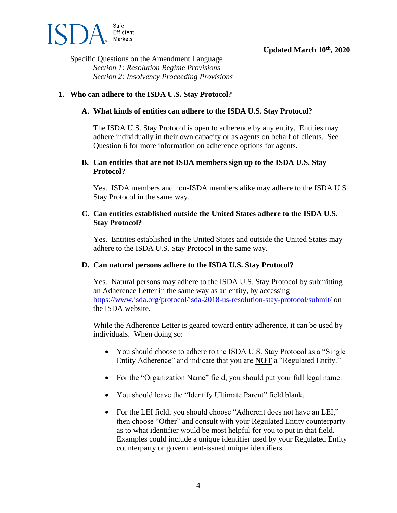

Specific Questions on the Amendment Language *Section 1: Resolution Regime Provisions Section 2: Insolvency Proceeding Provisions* 

## **1. Who can adhere to the ISDA U.S. Stay Protocol?**

### **A. What kinds of entities can adhere to the ISDA U.S. Stay Protocol?**

The ISDA U.S. Stay Protocol is open to adherence by any entity. Entities may adhere individually in their own capacity or as agents on behalf of clients. See Question 6 for more information on adherence options for agents.

### **B. Can entities that are not ISDA members sign up to the ISDA U.S. Stay Protocol?**

Yes. ISDA members and non-ISDA members alike may adhere to the ISDA U.S. Stay Protocol in the same way.

## **C. Can entities established outside the United States adhere to the ISDA U.S. Stay Protocol?**

Yes. Entities established in the United States and outside the United States may adhere to the ISDA U.S. Stay Protocol in the same way.

### **D. Can natural persons adhere to the ISDA U.S. Stay Protocol?**

Yes. Natural persons may adhere to the ISDA U.S. Stay Protocol by submitting an Adherence Letter in the same way as an entity, by accessing <https://www.isda.org/protocol/isda-2018-us-resolution-stay-protocol/submit/> on the ISDA website.

While the Adherence Letter is geared toward entity adherence, it can be used by individuals. When doing so:

- You should choose to adhere to the ISDA U.S. Stay Protocol as a "Single" Entity Adherence" and indicate that you are **NOT** a "Regulated Entity."
- For the "Organization Name" field, you should put your full legal name.
- You should leave the "Identify Ultimate Parent" field blank.
- For the LEI field, you should choose "Adherent does not have an LEI," then choose "Other" and consult with your Regulated Entity counterparty as to what identifier would be most helpful for you to put in that field. Examples could include a unique identifier used by your Regulated Entity counterparty or government-issued unique identifiers.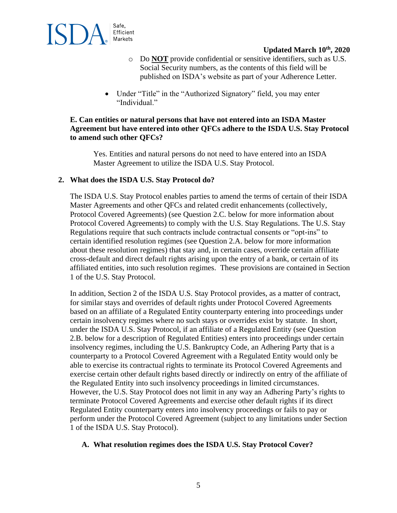

- o Do **NOT** provide confidential or sensitive identifiers, such as U.S. Social Security numbers, as the contents of this field will be published on ISDA's website as part of your Adherence Letter.
- Under "Title" in the "Authorized Signatory" field, you may enter "Individual."

## **E. Can entities or natural persons that have not entered into an ISDA Master Agreement but have entered into other QFCs adhere to the ISDA U.S. Stay Protocol to amend such other QFCs?**

Yes. Entities and natural persons do not need to have entered into an ISDA Master Agreement to utilize the ISDA U.S. Stay Protocol.

## **2. What does the ISDA U.S. Stay Protocol do?**

The ISDA U.S. Stay Protocol enables parties to amend the terms of certain of their ISDA Master Agreements and other QFCs and related credit enhancements (collectively, Protocol Covered Agreements) (see Question 2.C. below for more information about Protocol Covered Agreements) to comply with the U.S. Stay Regulations. The U.S. Stay Regulations require that such contracts include contractual consents or "opt-ins" to certain identified resolution regimes (see Question 2.A. below for more information about these resolution regimes) that stay and, in certain cases, override certain affiliate cross-default and direct default rights arising upon the entry of a bank, or certain of its affiliated entities, into such resolution regimes. These provisions are contained in Section 1 of the U.S. Stay Protocol.

In addition, Section 2 of the ISDA U.S. Stay Protocol provides, as a matter of contract, for similar stays and overrides of default rights under Protocol Covered Agreements based on an affiliate of a Regulated Entity counterparty entering into proceedings under certain insolvency regimes where no such stays or overrides exist by statute. In short, under the ISDA U.S. Stay Protocol, if an affiliate of a Regulated Entity (see Question 2.B. below for a description of Regulated Entities) enters into proceedings under certain insolvency regimes, including the U.S. Bankruptcy Code, an Adhering Party that is a counterparty to a Protocol Covered Agreement with a Regulated Entity would only be able to exercise its contractual rights to terminate its Protocol Covered Agreements and exercise certain other default rights based directly or indirectly on entry of the affiliate of the Regulated Entity into such insolvency proceedings in limited circumstances. However, the U.S. Stay Protocol does not limit in any way an Adhering Party's rights to terminate Protocol Covered Agreements and exercise other default rights if its direct Regulated Entity counterparty enters into insolvency proceedings or fails to pay or perform under the Protocol Covered Agreement (subject to any limitations under Section 1 of the ISDA U.S. Stay Protocol).

### **A. What resolution regimes does the ISDA U.S. Stay Protocol Cover?**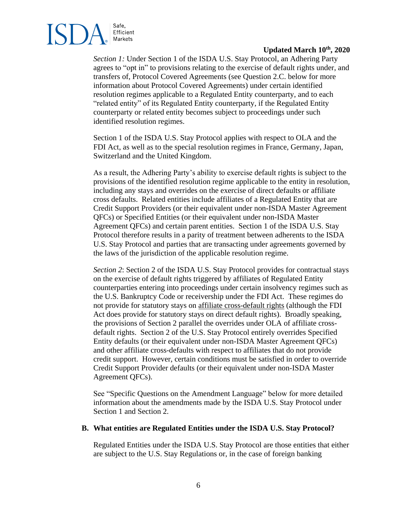

*Section 1:* Under Section 1 of the ISDA U.S. Stay Protocol, an Adhering Party agrees to "opt in" to provisions relating to the exercise of default rights under, and transfers of, Protocol Covered Agreements (see Question 2.C. below for more information about Protocol Covered Agreements) under certain identified resolution regimes applicable to a Regulated Entity counterparty, and to each "related entity" of its Regulated Entity counterparty, if the Regulated Entity counterparty or related entity becomes subject to proceedings under such identified resolution regimes.

Section 1 of the ISDA U.S. Stay Protocol applies with respect to OLA and the FDI Act, as well as to the special resolution regimes in France, Germany, Japan, Switzerland and the United Kingdom.

As a result, the Adhering Party's ability to exercise default rights is subject to the provisions of the identified resolution regime applicable to the entity in resolution, including any stays and overrides on the exercise of direct defaults or affiliate cross defaults. Related entities include affiliates of a Regulated Entity that are Credit Support Providers (or their equivalent under non-ISDA Master Agreement QFCs) or Specified Entities (or their equivalent under non-ISDA Master Agreement QFCs) and certain parent entities. Section 1 of the ISDA U.S. Stay Protocol therefore results in a parity of treatment between adherents to the ISDA U.S. Stay Protocol and parties that are transacting under agreements governed by the laws of the jurisdiction of the applicable resolution regime.

*Section 2*: Section 2 of the ISDA U.S. Stay Protocol provides for contractual stays on the exercise of default rights triggered by affiliates of Regulated Entity counterparties entering into proceedings under certain insolvency regimes such as the U.S. Bankruptcy Code or receivership under the FDI Act. These regimes do not provide for statutory stays on affiliate cross-default rights (although the FDI Act does provide for statutory stays on direct default rights). Broadly speaking, the provisions of Section 2 parallel the overrides under OLA of affiliate crossdefault rights. Section 2 of the U.S. Stay Protocol entirely overrides Specified Entity defaults (or their equivalent under non-ISDA Master Agreement QFCs) and other affiliate cross-defaults with respect to affiliates that do not provide credit support. However, certain conditions must be satisfied in order to override Credit Support Provider defaults (or their equivalent under non-ISDA Master Agreement QFCs).

See "Specific Questions on the Amendment Language" below for more detailed information about the amendments made by the ISDA U.S. Stay Protocol under Section 1 and Section 2.

#### **B. What entities are Regulated Entities under the ISDA U.S. Stay Protocol?**

Regulated Entities under the ISDA U.S. Stay Protocol are those entities that either are subject to the U.S. Stay Regulations or, in the case of foreign banking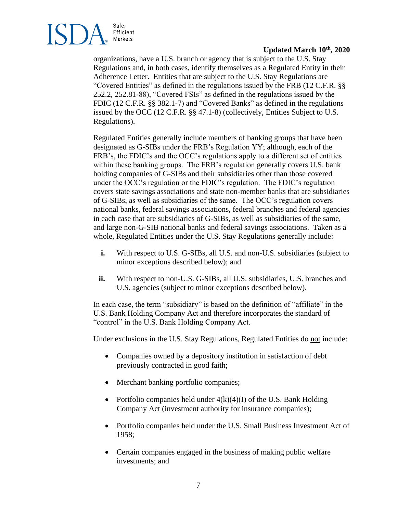

organizations, have a U.S. branch or agency that is subject to the U.S. Stay Regulations and, in both cases, identify themselves as a Regulated Entity in their Adherence Letter. Entities that are subject to the U.S. Stay Regulations are "Covered Entities" as defined in the regulations issued by the FRB (12 C.F.R. §§ 252.2, 252.81-88), "Covered FSIs" as defined in the regulations issued by the FDIC (12 C.F.R. §§ 382.1-7) and "Covered Banks" as defined in the regulations issued by the OCC (12 C.F.R. §§ 47.1-8) (collectively, Entities Subject to U.S. Regulations).

Regulated Entities generally include members of banking groups that have been designated as G-SIBs under the FRB's Regulation YY; although, each of the FRB's, the FDIC's and the OCC's regulations apply to a different set of entities within these banking groups. The FRB's regulation generally covers U.S. bank holding companies of G-SIBs and their subsidiaries other than those covered under the OCC's regulation or the FDIC's regulation. The FDIC's regulation covers state savings associations and state non-member banks that are subsidiaries of G-SIBs, as well as subsidiaries of the same. The OCC's regulation covers national banks, federal savings associations, federal branches and federal agencies in each case that are subsidiaries of G-SIBs, as well as subsidiaries of the same, and large non-G-SIB national banks and federal savings associations. Taken as a whole, Regulated Entities under the U.S. Stay Regulations generally include:

- **i.** With respect to U.S. G-SIBs, all U.S. and non-U.S. subsidiaries (subject to minor exceptions described below); and
- **ii.** With respect to non-U.S. G-SIBs, all U.S. subsidiaries, U.S. branches and U.S. agencies (subject to minor exceptions described below).

In each case, the term "subsidiary" is based on the definition of "affiliate" in the U.S. Bank Holding Company Act and therefore incorporates the standard of "control" in the U.S. Bank Holding Company Act.

Under exclusions in the U.S. Stay Regulations, Regulated Entities do not include:

- Companies owned by a depository institution in satisfaction of debt previously contracted in good faith;
- Merchant banking portfolio companies;
- Portfolio companies held under  $4(k)(4)(I)$  of the U.S. Bank Holding Company Act (investment authority for insurance companies);
- Portfolio companies held under the U.S. Small Business Investment Act of 1958;
- Certain companies engaged in the business of making public welfare investments; and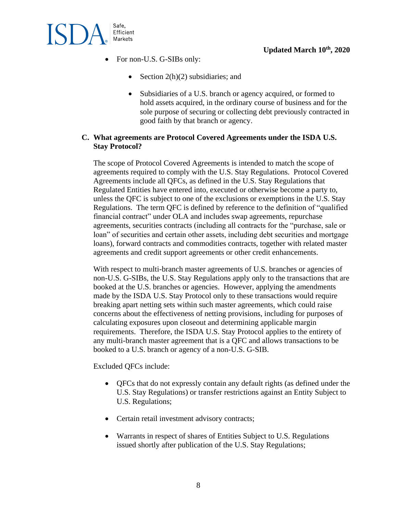

- For non-U.S. G-SIBs only:
	- Section  $2(h)(2)$  subsidiaries; and
	- Subsidiaries of a U.S. branch or agency acquired, or formed to hold assets acquired, in the ordinary course of business and for the sole purpose of securing or collecting debt previously contracted in good faith by that branch or agency.

# **C. What agreements are Protocol Covered Agreements under the ISDA U.S. Stay Protocol?**

The scope of Protocol Covered Agreements is intended to match the scope of agreements required to comply with the U.S. Stay Regulations. Protocol Covered Agreements include all QFCs, as defined in the U.S. Stay Regulations that Regulated Entities have entered into, executed or otherwise become a party to, unless the QFC is subject to one of the exclusions or exemptions in the U.S. Stay Regulations. The term QFC is defined by reference to the definition of "qualified financial contract" under OLA and includes swap agreements, repurchase agreements, securities contracts (including all contracts for the "purchase, sale or loan" of securities and certain other assets, including debt securities and mortgage loans), forward contracts and commodities contracts, together with related master agreements and credit support agreements or other credit enhancements.

With respect to multi-branch master agreements of U.S. branches or agencies of non-U.S. G-SIBs, the U.S. Stay Regulations apply only to the transactions that are booked at the U.S. branches or agencies. However, applying the amendments made by the ISDA U.S. Stay Protocol only to these transactions would require breaking apart netting sets within such master agreements, which could raise concerns about the effectiveness of netting provisions, including for purposes of calculating exposures upon closeout and determining applicable margin requirements. Therefore, the ISDA U.S. Stay Protocol applies to the entirety of any multi-branch master agreement that is a QFC and allows transactions to be booked to a U.S. branch or agency of a non-U.S. G-SIB.

Excluded QFCs include:

- QFCs that do not expressly contain any default rights (as defined under the U.S. Stay Regulations) or transfer restrictions against an Entity Subject to U.S. Regulations;
- Certain retail investment advisory contracts;
- Warrants in respect of shares of Entities Subject to U.S. Regulations issued shortly after publication of the U.S. Stay Regulations;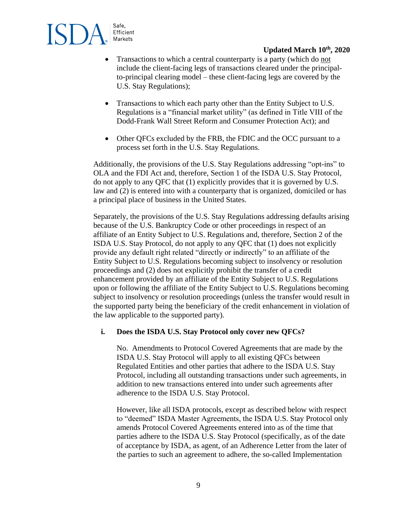

- Transactions to which a central counterparty is a party (which do not include the client-facing legs of transactions cleared under the principalto-principal clearing model – these client-facing legs are covered by the U.S. Stay Regulations);
- Transactions to which each party other than the Entity Subject to U.S. Regulations is a "financial market utility" (as defined in Title VIII of the Dodd-Frank Wall Street Reform and Consumer Protection Act); and
- Other QFCs excluded by the FRB, the FDIC and the OCC pursuant to a process set forth in the U.S. Stay Regulations.

Additionally, the provisions of the U.S. Stay Regulations addressing "opt-ins" to OLA and the FDI Act and, therefore, Section 1 of the ISDA U.S. Stay Protocol, do not apply to any QFC that (1) explicitly provides that it is governed by U.S. law and (2) is entered into with a counterparty that is organized, domiciled or has a principal place of business in the United States.

Separately, the provisions of the U.S. Stay Regulations addressing defaults arising because of the U.S. Bankruptcy Code or other proceedings in respect of an affiliate of an Entity Subject to U.S. Regulations and, therefore, Section 2 of the ISDA U.S. Stay Protocol, do not apply to any QFC that (1) does not explicitly provide any default right related "directly or indirectly" to an affiliate of the Entity Subject to U.S. Regulations becoming subject to insolvency or resolution proceedings and (2) does not explicitly prohibit the transfer of a credit enhancement provided by an affiliate of the Entity Subject to U.S. Regulations upon or following the affiliate of the Entity Subject to U.S. Regulations becoming subject to insolvency or resolution proceedings (unless the transfer would result in the supported party being the beneficiary of the credit enhancement in violation of the law applicable to the supported party).

### **i. Does the ISDA U.S. Stay Protocol only cover new QFCs?**

No. Amendments to Protocol Covered Agreements that are made by the ISDA U.S. Stay Protocol will apply to all existing QFCs between Regulated Entities and other parties that adhere to the ISDA U.S. Stay Protocol, including all outstanding transactions under such agreements, in addition to new transactions entered into under such agreements after adherence to the ISDA U.S. Stay Protocol.

However, like all ISDA protocols, except as described below with respect to "deemed" ISDA Master Agreements, the ISDA U.S. Stay Protocol only amends Protocol Covered Agreements entered into as of the time that parties adhere to the ISDA U.S. Stay Protocol (specifically, as of the date of acceptance by ISDA, as agent, of an Adherence Letter from the later of the parties to such an agreement to adhere, the so-called Implementation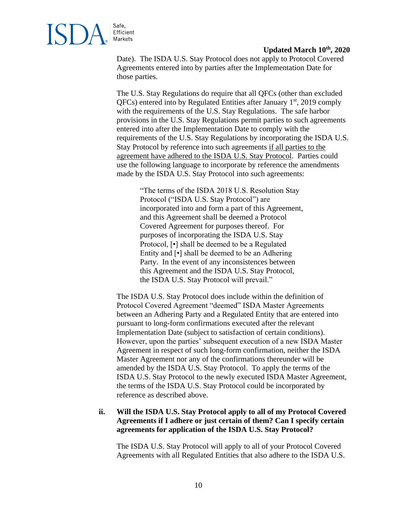

Date). The ISDA U.S. Stay Protocol does not apply to Protocol Covered Agreements entered into by parties after the Implementation Date for those parties.

The U.S. Stay Regulations do require that all QFCs (other than excluded  $QFCs$ ) entered into by Regulated Entities after January  $1<sup>st</sup>$ , 2019 comply with the requirements of the U.S. Stay Regulations. The safe harbor provisions in the U.S. Stay Regulations permit parties to such agreements entered into after the Implementation Date to comply with the requirements of the U.S. Stay Regulations by incorporating the ISDA U.S. Stay Protocol by reference into such agreements if all parties to the agreement have adhered to the ISDA U.S. Stay Protocol. Parties could use the following language to incorporate by reference the amendments made by the ISDA U.S. Stay Protocol into such agreements:

"The terms of the ISDA 2018 U.S. Resolution Stay Protocol ("ISDA U.S. Stay Protocol") are incorporated into and form a part of this Agreement, and this Agreement shall be deemed a Protocol Covered Agreement for purposes thereof. For purposes of incorporating the ISDA U.S. Stay Protocol, [•] shall be deemed to be a Regulated Entity and [•] shall be deemed to be an Adhering Party. In the event of any inconsistences between this Agreement and the ISDA U.S. Stay Protocol, the ISDA U.S. Stay Protocol will prevail."

The ISDA U.S. Stay Protocol does include within the definition of Protocol Covered Agreement "deemed" ISDA Master Agreements between an Adhering Party and a Regulated Entity that are entered into pursuant to long-form confirmations executed after the relevant Implementation Date (subject to satisfaction of certain conditions). However, upon the parties' subsequent execution of a new ISDA Master Agreement in respect of such long-form confirmation, neither the ISDA Master Agreement nor any of the confirmations thereunder will be amended by the ISDA U.S. Stay Protocol. To apply the terms of the ISDA U.S. Stay Protocol to the newly executed ISDA Master Agreement, the terms of the ISDA U.S. Stay Protocol could be incorporated by reference as described above.

## **ii. Will the ISDA U.S. Stay Protocol apply to all of my Protocol Covered Agreements if I adhere or just certain of them? Can I specify certain agreements for application of the ISDA U.S. Stay Protocol?**

The ISDA U.S. Stay Protocol will apply to all of your Protocol Covered Agreements with all Regulated Entities that also adhere to the ISDA U.S.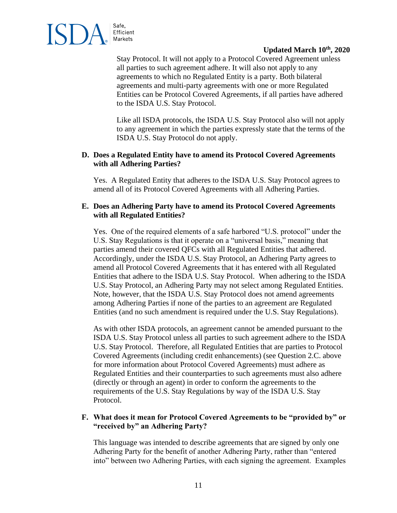

Stay Protocol. It will not apply to a Protocol Covered Agreement unless all parties to such agreement adhere. It will also not apply to any agreements to which no Regulated Entity is a party. Both bilateral agreements and multi-party agreements with one or more Regulated Entities can be Protocol Covered Agreements, if all parties have adhered to the ISDA U.S. Stay Protocol.

Like all ISDA protocols, the ISDA U.S. Stay Protocol also will not apply to any agreement in which the parties expressly state that the terms of the ISDA U.S. Stay Protocol do not apply.

### **D. Does a Regulated Entity have to amend its Protocol Covered Agreements with all Adhering Parties?**

Yes. A Regulated Entity that adheres to the ISDA U.S. Stay Protocol agrees to amend all of its Protocol Covered Agreements with all Adhering Parties.

### **E. Does an Adhering Party have to amend its Protocol Covered Agreements with all Regulated Entities?**

Yes. One of the required elements of a safe harbored "U.S. protocol" under the U.S. Stay Regulations is that it operate on a "universal basis," meaning that parties amend their covered QFCs with all Regulated Entities that adhered. Accordingly, under the ISDA U.S. Stay Protocol, an Adhering Party agrees to amend all Protocol Covered Agreements that it has entered with all Regulated Entities that adhere to the ISDA U.S. Stay Protocol. When adhering to the ISDA U.S. Stay Protocol, an Adhering Party may not select among Regulated Entities. Note, however, that the ISDA U.S. Stay Protocol does not amend agreements among Adhering Parties if none of the parties to an agreement are Regulated Entities (and no such amendment is required under the U.S. Stay Regulations).

As with other ISDA protocols, an agreement cannot be amended pursuant to the ISDA U.S. Stay Protocol unless all parties to such agreement adhere to the ISDA U.S. Stay Protocol. Therefore, all Regulated Entities that are parties to Protocol Covered Agreements (including credit enhancements) (see Question 2.C. above for more information about Protocol Covered Agreements) must adhere as Regulated Entities and their counterparties to such agreements must also adhere (directly or through an agent) in order to conform the agreements to the requirements of the U.S. Stay Regulations by way of the ISDA U.S. Stay Protocol.

### **F. What does it mean for Protocol Covered Agreements to be "provided by" or "received by" an Adhering Party?**

This language was intended to describe agreements that are signed by only one Adhering Party for the benefit of another Adhering Party, rather than "entered into" between two Adhering Parties, with each signing the agreement. Examples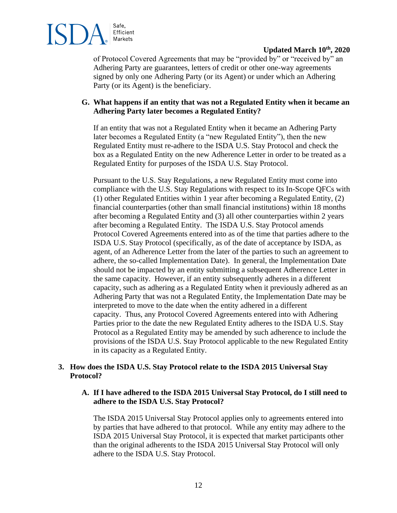

of Protocol Covered Agreements that may be "provided by" or "received by" an Adhering Party are guarantees, letters of credit or other one-way agreements signed by only one Adhering Party (or its Agent) or under which an Adhering Party (or its Agent) is the beneficiary.

### **G. What happens if an entity that was not a Regulated Entity when it became an Adhering Party later becomes a Regulated Entity?**

If an entity that was not a Regulated Entity when it became an Adhering Party later becomes a Regulated Entity (a "new Regulated Entity"), then the new Regulated Entity must re-adhere to the ISDA U.S. Stay Protocol and check the box as a Regulated Entity on the new Adherence Letter in order to be treated as a Regulated Entity for purposes of the ISDA U.S. Stay Protocol.

Pursuant to the U.S. Stay Regulations, a new Regulated Entity must come into compliance with the U.S. Stay Regulations with respect to its In-Scope QFCs with (1) other Regulated Entities within 1 year after becoming a Regulated Entity, (2) financial counterparties (other than small financial institutions) within 18 months after becoming a Regulated Entity and (3) all other counterparties within 2 years after becoming a Regulated Entity. The ISDA U.S. Stay Protocol amends Protocol Covered Agreements entered into as of the time that parties adhere to the ISDA U.S. Stay Protocol (specifically, as of the date of acceptance by ISDA, as agent, of an Adherence Letter from the later of the parties to such an agreement to adhere, the so-called Implementation Date). In general, the Implementation Date should not be impacted by an entity submitting a subsequent Adherence Letter in the same capacity. However, if an entity subsequently adheres in a different capacity, such as adhering as a Regulated Entity when it previously adhered as an Adhering Party that was not a Regulated Entity, the Implementation Date may be interpreted to move to the date when the entity adhered in a different capacity. Thus, any Protocol Covered Agreements entered into with Adhering Parties prior to the date the new Regulated Entity adheres to the ISDA U.S. Stay Protocol as a Regulated Entity may be amended by such adherence to include the provisions of the ISDA U.S. Stay Protocol applicable to the new Regulated Entity in its capacity as a Regulated Entity.

# **3. How does the ISDA U.S. Stay Protocol relate to the ISDA 2015 Universal Stay Protocol?**

## **A. If I have adhered to the ISDA 2015 Universal Stay Protocol, do I still need to adhere to the ISDA U.S. Stay Protocol?**

The ISDA 2015 Universal Stay Protocol applies only to agreements entered into by parties that have adhered to that protocol. While any entity may adhere to the ISDA 2015 Universal Stay Protocol, it is expected that market participants other than the original adherents to the ISDA 2015 Universal Stay Protocol will only adhere to the ISDA U.S. Stay Protocol.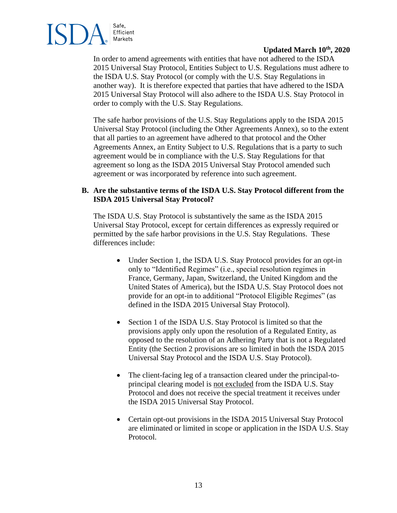

In order to amend agreements with entities that have not adhered to the ISDA 2015 Universal Stay Protocol, Entities Subject to U.S. Regulations must adhere to the ISDA U.S. Stay Protocol (or comply with the U.S. Stay Regulations in another way). It is therefore expected that parties that have adhered to the ISDA 2015 Universal Stay Protocol will also adhere to the ISDA U.S. Stay Protocol in order to comply with the U.S. Stay Regulations.

The safe harbor provisions of the U.S. Stay Regulations apply to the ISDA 2015 Universal Stay Protocol (including the Other Agreements Annex), so to the extent that all parties to an agreement have adhered to that protocol and the Other Agreements Annex, an Entity Subject to U.S. Regulations that is a party to such agreement would be in compliance with the U.S. Stay Regulations for that agreement so long as the ISDA 2015 Universal Stay Protocol amended such agreement or was incorporated by reference into such agreement.

# **B. Are the substantive terms of the ISDA U.S. Stay Protocol different from the ISDA 2015 Universal Stay Protocol?**

The ISDA U.S. Stay Protocol is substantively the same as the ISDA 2015 Universal Stay Protocol, except for certain differences as expressly required or permitted by the safe harbor provisions in the U.S. Stay Regulations. These differences include:

- Under Section 1, the ISDA U.S. Stay Protocol provides for an opt-in only to "Identified Regimes" (i.e., special resolution regimes in France, Germany, Japan, Switzerland, the United Kingdom and the United States of America), but the ISDA U.S. Stay Protocol does not provide for an opt-in to additional "Protocol Eligible Regimes" (as defined in the ISDA 2015 Universal Stay Protocol).
- Section 1 of the ISDA U.S. Stay Protocol is limited so that the provisions apply only upon the resolution of a Regulated Entity, as opposed to the resolution of an Adhering Party that is not a Regulated Entity (the Section 2 provisions are so limited in both the ISDA 2015 Universal Stay Protocol and the ISDA U.S. Stay Protocol).
- The client-facing leg of a transaction cleared under the principal-toprincipal clearing model is not excluded from the ISDA U.S. Stay Protocol and does not receive the special treatment it receives under the ISDA 2015 Universal Stay Protocol.
- Certain opt-out provisions in the ISDA 2015 Universal Stay Protocol are eliminated or limited in scope or application in the ISDA U.S. Stay Protocol.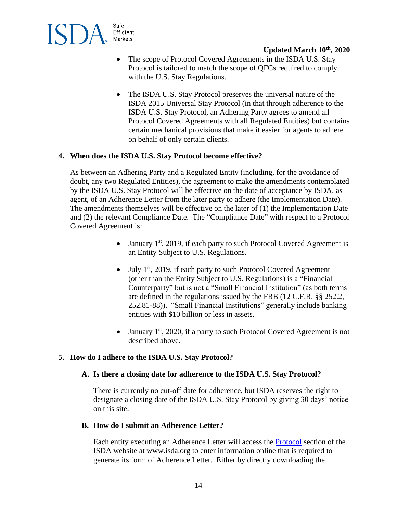

- The scope of Protocol Covered Agreements in the ISDA U.S. Stay Protocol is tailored to match the scope of QFCs required to comply with the U.S. Stay Regulations.
- The ISDA U.S. Stay Protocol preserves the universal nature of the ISDA 2015 Universal Stay Protocol (in that through adherence to the ISDA U.S. Stay Protocol, an Adhering Party agrees to amend all Protocol Covered Agreements with all Regulated Entities) but contains certain mechanical provisions that make it easier for agents to adhere on behalf of only certain clients.

### **4. When does the ISDA U.S. Stay Protocol become effective?**

As between an Adhering Party and a Regulated Entity (including, for the avoidance of doubt, any two Regulated Entities), the agreement to make the amendments contemplated by the ISDA U.S. Stay Protocol will be effective on the date of acceptance by ISDA, as agent, of an Adherence Letter from the later party to adhere (the Implementation Date). The amendments themselves will be effective on the later of (1) the Implementation Date and (2) the relevant Compliance Date. The "Compliance Date" with respect to a Protocol Covered Agreement is:

- January  $1^{st}$ , 2019, if each party to such Protocol Covered Agreement is an Entity Subject to U.S. Regulations.
- $\bullet$  July 1<sup>st</sup>, 2019, if each party to such Protocol Covered Agreement (other than the Entity Subject to U.S. Regulations) is a "Financial Counterparty" but is not a "Small Financial Institution" (as both terms are defined in the regulations issued by the FRB (12 C.F.R. §§ 252.2, 252.81-88)). "Small Financial Institutions" generally include banking entities with \$10 billion or less in assets.
- January  $1<sup>st</sup>$ , 2020, if a party to such Protocol Covered Agreement is not described above.

### **5. How do I adhere to the ISDA U.S. Stay Protocol?**

#### **A. Is there a closing date for adherence to the ISDA U.S. Stay Protocol?**

There is currently no cut-off date for adherence, but ISDA reserves the right to designate a closing date of the ISDA U.S. Stay Protocol by giving 30 days' notice on this site.

### **B. How do I submit an Adherence Letter?**

Each entity executing an Adherence Letter will access the [Protocol](https://www.isda.org/protocols/manage/) section of the ISDA website at www.isda.org to enter information online that is required to generate its form of Adherence Letter. Either by directly downloading the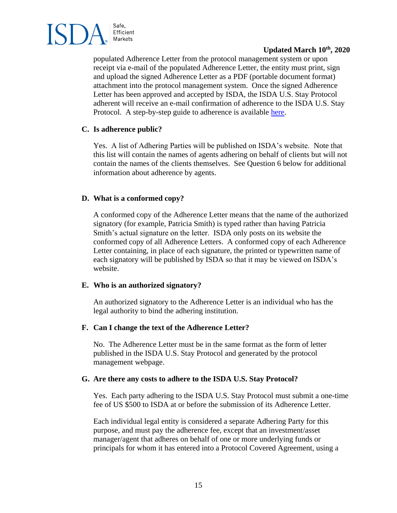

populated Adherence Letter from the protocol management system or upon receipt via e-mail of the populated Adherence Letter, the entity must print, sign and upload the signed Adherence Letter as a PDF (portable document format) attachment into the protocol management system. Once the signed Adherence Letter has been approved and accepted by ISDA, the ISDA U.S. Stay Protocol adherent will receive an e-mail confirmation of adherence to the ISDA U.S. Stay Protocol. A step-by-step guide to adherence is available [here.](https://www.isda.org/a/PFjEE/How-to-Adhere-to-2018_U.S._Resolution_Stay_Protocol.pdf)

## **C. Is adherence public?**

Yes. A list of Adhering Parties will be published on ISDA's website. Note that this list will contain the names of agents adhering on behalf of clients but will not contain the names of the clients themselves. See Question 6 below for additional information about adherence by agents.

# **D. What is a conformed copy?**

A conformed copy of the Adherence Letter means that the name of the authorized signatory (for example, Patricia Smith) is typed rather than having Patricia Smith's actual signature on the letter. ISDA only posts on its website the conformed copy of all Adherence Letters. A conformed copy of each Adherence Letter containing, in place of each signature, the printed or typewritten name of each signatory will be published by ISDA so that it may be viewed on ISDA's website.

### **E. Who is an authorized signatory?**

An authorized signatory to the Adherence Letter is an individual who has the legal authority to bind the adhering institution.

### **F. Can I change the text of the Adherence Letter?**

No. The Adherence Letter must be in the same format as the form of letter published in the ISDA U.S. Stay Protocol and generated by the protocol management webpage.

### **G. Are there any costs to adhere to the ISDA U.S. Stay Protocol?**

Yes. Each party adhering to the ISDA U.S. Stay Protocol must submit a one-time fee of US \$500 to ISDA at or before the submission of its Adherence Letter.

Each individual legal entity is considered a separate Adhering Party for this purpose, and must pay the adherence fee, except that an investment/asset manager/agent that adheres on behalf of one or more underlying funds or principals for whom it has entered into a Protocol Covered Agreement, using a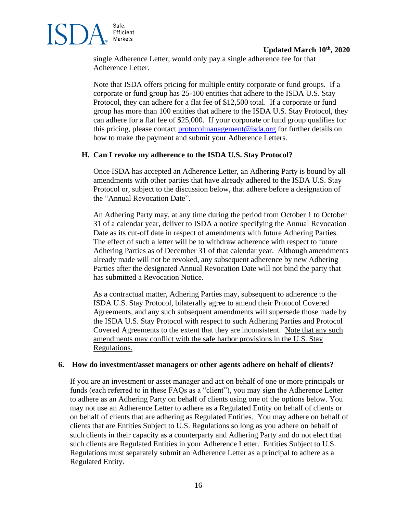

single Adherence Letter, would only pay a single adherence fee for that Adherence Letter.

Note that ISDA offers pricing for multiple entity corporate or fund groups. If a corporate or fund group has 25-100 entities that adhere to the ISDA U.S. Stay Protocol, they can adhere for a flat fee of \$12,500 total. If a corporate or fund group has more than 100 entities that adhere to the ISDA U.S. Stay Protocol, they can adhere for a flat fee of \$25,000. If your corporate or fund group qualifies for this pricing, please contact [protocolmanagement@isda.org](mailto:protocolmanagement@isda.org) for further details on how to make the payment and submit your Adherence Letters.

### **H. Can I revoke my adherence to the ISDA U.S. Stay Protocol?**

Once ISDA has accepted an Adherence Letter, an Adhering Party is bound by all amendments with other parties that have already adhered to the ISDA U.S. Stay Protocol or, subject to the discussion below, that adhere before a designation of the "Annual Revocation Date".

An Adhering Party may, at any time during the period from October 1 to October 31 of a calendar year, deliver to ISDA a notice specifying the Annual Revocation Date as its cut-off date in respect of amendments with future Adhering Parties. The effect of such a letter will be to withdraw adherence with respect to future Adhering Parties as of December 31 of that calendar year. Although amendments already made will not be revoked, any subsequent adherence by new Adhering Parties after the designated Annual Revocation Date will not bind the party that has submitted a Revocation Notice.

As a contractual matter, Adhering Parties may, subsequent to adherence to the ISDA U.S. Stay Protocol, bilaterally agree to amend their Protocol Covered Agreements, and any such subsequent amendments will supersede those made by the ISDA U.S. Stay Protocol with respect to such Adhering Parties and Protocol Covered Agreements to the extent that they are inconsistent. Note that any such amendments may conflict with the safe harbor provisions in the U.S. Stay Regulations.

#### **6. How do investment/asset managers or other agents adhere on behalf of clients?**

If you are an investment or asset manager and act on behalf of one or more principals or funds (each referred to in these FAQs as a "client"), you may sign the Adherence Letter to adhere as an Adhering Party on behalf of clients using one of the options below. You may not use an Adherence Letter to adhere as a Regulated Entity on behalf of clients or on behalf of clients that are adhering as Regulated Entities. You may adhere on behalf of clients that are Entities Subject to U.S. Regulations so long as you adhere on behalf of such clients in their capacity as a counterparty and Adhering Party and do not elect that such clients are Regulated Entities in your Adherence Letter. Entities Subject to U.S. Regulations must separately submit an Adherence Letter as a principal to adhere as a Regulated Entity.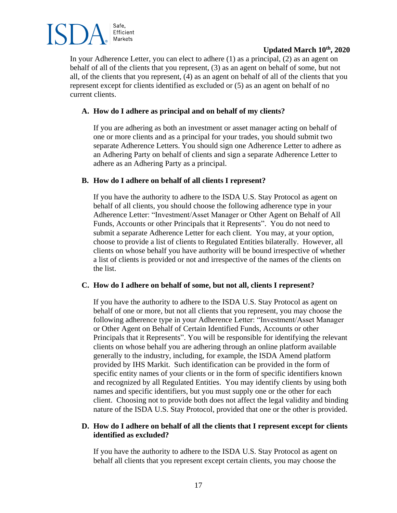

In your Adherence Letter, you can elect to adhere (1) as a principal, (2) as an agent on behalf of all of the clients that you represent, (3) as an agent on behalf of some, but not all, of the clients that you represent, (4) as an agent on behalf of all of the clients that you represent except for clients identified as excluded or (5) as an agent on behalf of no current clients.

# **A. How do I adhere as principal and on behalf of my clients?**

If you are adhering as both an investment or asset manager acting on behalf of one or more clients and as a principal for your trades, you should submit two separate Adherence Letters. You should sign one Adherence Letter to adhere as an Adhering Party on behalf of clients and sign a separate Adherence Letter to adhere as an Adhering Party as a principal.

## **B. How do I adhere on behalf of all clients I represent?**

If you have the authority to adhere to the ISDA U.S. Stay Protocol as agent on behalf of all clients, you should choose the following adherence type in your Adherence Letter: "Investment/Asset Manager or Other Agent on Behalf of All Funds, Accounts or other Principals that it Represents". You do not need to submit a separate Adherence Letter for each client. You may, at your option, choose to provide a list of clients to Regulated Entities bilaterally. However, all clients on whose behalf you have authority will be bound irrespective of whether a list of clients is provided or not and irrespective of the names of the clients on the list.

### **C. How do I adhere on behalf of some, but not all, clients I represent?**

If you have the authority to adhere to the ISDA U.S. Stay Protocol as agent on behalf of one or more, but not all clients that you represent, you may choose the following adherence type in your Adherence Letter: "Investment/Asset Manager or Other Agent on Behalf of Certain Identified Funds, Accounts or other Principals that it Represents". You will be responsible for identifying the relevant clients on whose behalf you are adhering through an online platform available generally to the industry, including, for example, the ISDA Amend platform provided by IHS Markit. Such identification can be provided in the form of specific entity names of your clients or in the form of specific identifiers known and recognized by all Regulated Entities. You may identify clients by using both names and specific identifiers, but you must supply one or the other for each client. Choosing not to provide both does not affect the legal validity and binding nature of the ISDA U.S. Stay Protocol, provided that one or the other is provided.

## **D. How do I adhere on behalf of all the clients that I represent except for clients identified as excluded?**

If you have the authority to adhere to the ISDA U.S. Stay Protocol as agent on behalf all clients that you represent except certain clients, you may choose the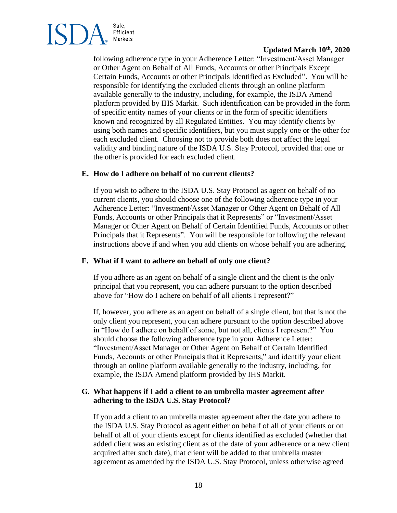

following adherence type in your Adherence Letter: "Investment/Asset Manager or Other Agent on Behalf of All Funds, Accounts or other Principals Except Certain Funds, Accounts or other Principals Identified as Excluded". You will be responsible for identifying the excluded clients through an online platform available generally to the industry, including, for example, the ISDA Amend platform provided by IHS Markit. Such identification can be provided in the form of specific entity names of your clients or in the form of specific identifiers known and recognized by all Regulated Entities. You may identify clients by using both names and specific identifiers, but you must supply one or the other for each excluded client. Choosing not to provide both does not affect the legal validity and binding nature of the ISDA U.S. Stay Protocol, provided that one or the other is provided for each excluded client.

### **E. How do I adhere on behalf of no current clients?**

If you wish to adhere to the ISDA U.S. Stay Protocol as agent on behalf of no current clients, you should choose one of the following adherence type in your Adherence Letter: "Investment/Asset Manager or Other Agent on Behalf of All Funds, Accounts or other Principals that it Represents" or "Investment/Asset Manager or Other Agent on Behalf of Certain Identified Funds, Accounts or other Principals that it Represents". You will be responsible for following the relevant instructions above if and when you add clients on whose behalf you are adhering.

#### **F. What if I want to adhere on behalf of only one client?**

If you adhere as an agent on behalf of a single client and the client is the only principal that you represent, you can adhere pursuant to the option described above for "How do I adhere on behalf of all clients I represent?"

If, however, you adhere as an agent on behalf of a single client, but that is not the only client you represent, you can adhere pursuant to the option described above in "How do I adhere on behalf of some, but not all, clients I represent?" You should choose the following adherence type in your Adherence Letter: "Investment/Asset Manager or Other Agent on Behalf of Certain Identified Funds, Accounts or other Principals that it Represents," and identify your client through an online platform available generally to the industry, including, for example, the ISDA Amend platform provided by IHS Markit.

### **G. What happens if I add a client to an umbrella master agreement after adhering to the ISDA U.S. Stay Protocol?**

If you add a client to an umbrella master agreement after the date you adhere to the ISDA U.S. Stay Protocol as agent either on behalf of all of your clients or on behalf of all of your clients except for clients identified as excluded (whether that added client was an existing client as of the date of your adherence or a new client acquired after such date), that client will be added to that umbrella master agreement as amended by the ISDA U.S. Stay Protocol, unless otherwise agreed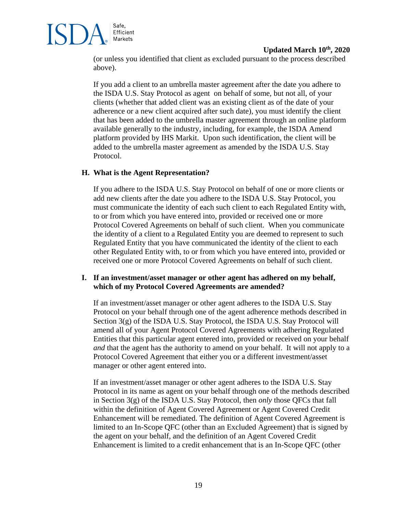

(or unless you identified that client as excluded pursuant to the process described above).

If you add a client to an umbrella master agreement after the date you adhere to the ISDA U.S. Stay Protocol as agent on behalf of some, but not all, of your clients (whether that added client was an existing client as of the date of your adherence or a new client acquired after such date), you must identify the client that has been added to the umbrella master agreement through an online platform available generally to the industry, including, for example, the ISDA Amend platform provided by IHS Markit. Upon such identification, the client will be added to the umbrella master agreement as amended by the ISDA U.S. Stay Protocol.

### **H. What is the Agent Representation?**

If you adhere to the ISDA U.S. Stay Protocol on behalf of one or more clients or add new clients after the date you adhere to the ISDA U.S. Stay Protocol, you must communicate the identity of each such client to each Regulated Entity with, to or from which you have entered into, provided or received one or more Protocol Covered Agreements on behalf of such client. When you communicate the identity of a client to a Regulated Entity you are deemed to represent to such Regulated Entity that you have communicated the identity of the client to each other Regulated Entity with, to or from which you have entered into, provided or received one or more Protocol Covered Agreements on behalf of such client.

### **I. If an investment/asset manager or other agent has adhered on my behalf, which of my Protocol Covered Agreements are amended?**

If an investment/asset manager or other agent adheres to the ISDA U.S. Stay Protocol on your behalf through one of the agent adherence methods described in Section 3(g) of the ISDA U.S. Stay Protocol, the ISDA U.S. Stay Protocol will amend all of your Agent Protocol Covered Agreements with adhering Regulated Entities that this particular agent entered into, provided or received on your behalf *and* that the agent has the authority to amend on your behalf. It will not apply to a Protocol Covered Agreement that either you or a different investment/asset manager or other agent entered into.

If an investment/asset manager or other agent adheres to the ISDA U.S. Stay Protocol in its name as agent on your behalf through one of the methods described in Section 3(g) of the ISDA U.S. Stay Protocol, then *only* those QFCs that fall within the definition of Agent Covered Agreement or Agent Covered Credit Enhancement will be remediated. The definition of Agent Covered Agreement is limited to an In-Scope QFC (other than an Excluded Agreement) that is signed by the agent on your behalf, and the definition of an Agent Covered Credit Enhancement is limited to a credit enhancement that is an In-Scope QFC (other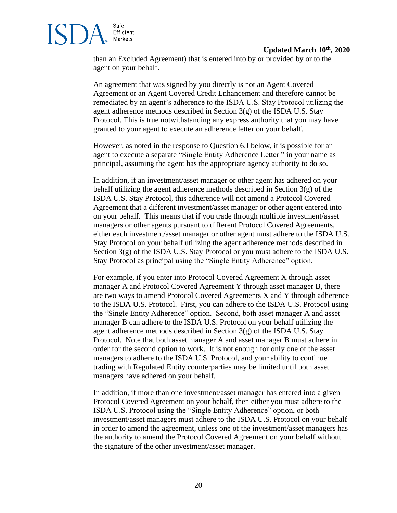Efficient Markets

Safe,

than an Excluded Agreement) that is entered into by or provided by or to the agent on your behalf.

An agreement that was signed by you directly is not an Agent Covered Agreement or an Agent Covered Credit Enhancement and therefore cannot be remediated by an agent's adherence to the ISDA U.S. Stay Protocol utilizing the agent adherence methods described in Section 3(g) of the ISDA U.S. Stay Protocol. This is true notwithstanding any express authority that you may have granted to your agent to execute an adherence letter on your behalf.

However, as noted in the response to Question 6.J below, it is possible for an agent to execute a separate "Single Entity Adherence Letter " in your name as principal, assuming the agent has the appropriate agency authority to do so.

In addition, if an investment/asset manager or other agent has adhered on your behalf utilizing the agent adherence methods described in Section  $3(g)$  of the ISDA U.S. Stay Protocol, this adherence will not amend a Protocol Covered Agreement that a different investment/asset manager or other agent entered into on your behalf. This means that if you trade through multiple investment/asset managers or other agents pursuant to different Protocol Covered Agreements, either each investment/asset manager or other agent must adhere to the ISDA U.S. Stay Protocol on your behalf utilizing the agent adherence methods described in Section 3(g) of the ISDA U.S. Stay Protocol or you must adhere to the ISDA U.S. Stay Protocol as principal using the "Single Entity Adherence" option.

For example, if you enter into Protocol Covered Agreement X through asset manager A and Protocol Covered Agreement Y through asset manager B, there are two ways to amend Protocol Covered Agreements X and Y through adherence to the ISDA U.S. Protocol. First, you can adhere to the ISDA U.S. Protocol using the "Single Entity Adherence" option. Second, both asset manager A and asset manager B can adhere to the ISDA U.S. Protocol on your behalf utilizing the agent adherence methods described in Section 3(g) of the ISDA U.S. Stay Protocol. Note that both asset manager A and asset manager B must adhere in order for the second option to work. It is not enough for only one of the asset managers to adhere to the ISDA U.S. Protocol, and your ability to continue trading with Regulated Entity counterparties may be limited until both asset managers have adhered on your behalf.

In addition, if more than one investment/asset manager has entered into a given Protocol Covered Agreement on your behalf, then either you must adhere to the ISDA U.S. Protocol using the "Single Entity Adherence" option, or both investment/asset managers must adhere to the ISDA U.S. Protocol on your behalf in order to amend the agreement, unless one of the investment/asset managers has the authority to amend the Protocol Covered Agreement on your behalf without the signature of the other investment/asset manager.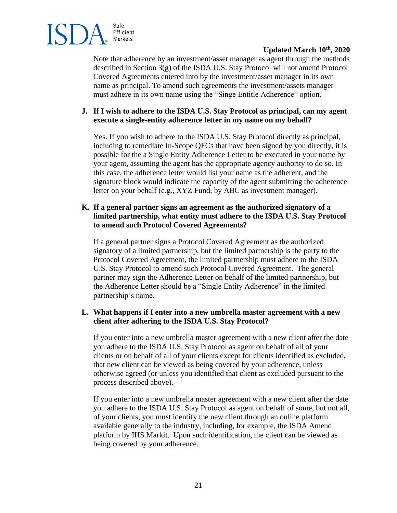

Note that adherence by an investment/asset manager as agent through the methods described in Section 3(g) of the ISDA U.S. Stay Protocol will not amend Protocol Covered Agreements entered into by the investment/asset manager in its own name as principal. To amend such agreements the investment/assets manager must adhere in its own name using the "Singe Entitle Adherence" option.

# **J. If I wish to adhere to the ISDA U.S. Stay Protocol as principal, can my agent execute a single-entity adherence letter in my name on my behalf?**

Yes. If you wish to adhere to the ISDA U.S. Stay Protocol directly as principal, including to remediate In-Scope QFCs that have been signed by you directly, it is possible for the a Single Entity Adherence Letter to be executed in your name by your agent, assuming the agent has the appropriate agency authority to do so. In this case, the adherence letter would list your name as the adherent, and the signature block would indicate the capacity of the agent submitting the adherence letter on your behalf (e.g., XYZ Fund, by ABC as investment manager).

## **K. If a general partner signs an agreement as the authorized signatory of a limited partnership, what entity must adhere to the ISDA U.S. Stay Protocol to amend such Protocol Covered Agreements?**

If a general partner signs a Protocol Covered Agreement as the authorized signatory of a limited partnership, but the limited partnership is the party to the Protocol Covered Agreement, the limited partnership must adhere to the ISDA U.S. Stay Protocol to amend such Protocol Covered Agreement. The general partner may sign the Adherence Letter on behalf of the limited partnership, but the Adherence Letter should be a "Single Entity Adherence" in the limited partnership's name.

## **L. What happens if I enter into a new umbrella master agreement with a new client after adhering to the ISDA U.S. Stay Protocol?**

If you enter into a new umbrella master agreement with a new client after the date you adhere to the ISDA U.S. Stay Protocol as agent on behalf of all of your clients or on behalf of all of your clients except for clients identified as excluded, that new client can be viewed as being covered by your adherence, unless otherwise agreed (or unless you identified that client as excluded pursuant to the process described above).

If you enter into a new umbrella master agreement with a new client after the date you adhere to the ISDA U.S. Stay Protocol as agent on behalf of some, but not all, of your clients, you must identify the new client through an online platform available generally to the industry, including, for example, the ISDA Amend platform by IHS Markit. Upon such identification, the client can be viewed as being covered by your adherence.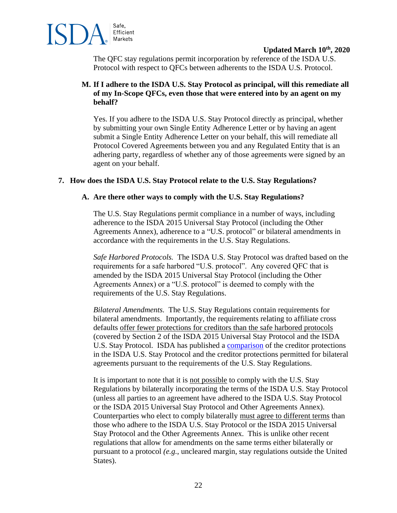

The QFC stay regulations permit incorporation by reference of the ISDA U.S. Protocol with respect to QFCs between adherents to the ISDA U.S. Protocol.

## **M. If I adhere to the ISDA U.S. Stay Protocol as principal, will this remediate all of my In-Scope QFCs, even those that were entered into by an agent on my behalf?**

Yes. If you adhere to the ISDA U.S. Stay Protocol directly as principal, whether by submitting your own Single Entity Adherence Letter or by having an agent submit a Single Entity Adherence Letter on your behalf, this will remediate all Protocol Covered Agreements between you and any Regulated Entity that is an adhering party, regardless of whether any of those agreements were signed by an agent on your behalf.

### **7. How does the ISDA U.S. Stay Protocol relate to the U.S. Stay Regulations?**

### **A. Are there other ways to comply with the U.S. Stay Regulations?**

The U.S. Stay Regulations permit compliance in a number of ways, including adherence to the ISDA 2015 Universal Stay Protocol (including the Other Agreements Annex), adherence to a "U.S. protocol" or bilateral amendments in accordance with the requirements in the U.S. Stay Regulations.

*Safe Harbored Protocols.* The ISDA U.S. Stay Protocol was drafted based on the requirements for a safe harbored "U.S. protocol". Any covered QFC that is amended by the ISDA 2015 Universal Stay Protocol (including the Other Agreements Annex) or a "U.S. protocol" is deemed to comply with the requirements of the U.S. Stay Regulations.

*Bilateral Amendments.* The U.S. Stay Regulations contain requirements for bilateral amendments. Importantly, the requirements relating to affiliate cross defaults offer fewer protections for creditors than the safe harbored protocols (covered by Section 2 of the ISDA 2015 Universal Stay Protocol and the ISDA U.S. Stay Protocol. ISDA has published a [comparison](https://www.isda.org/a/EZjEE/Comparison-of-Creditor-Protections-ISDA-2018-U.S.-Resolution-Stay-Protocol-versus-Bilateral-Agreement.pdf) of the creditor protections in the ISDA U.S. Stay Protocol and the creditor protections permitted for bilateral agreements pursuant to the requirements of the U.S. Stay Regulations.

It is important to note that it is not possible to comply with the U.S. Stay Regulations by bilaterally incorporating the terms of the ISDA U.S. Stay Protocol (unless all parties to an agreement have adhered to the ISDA U.S. Stay Protocol or the ISDA 2015 Universal Stay Protocol and Other Agreements Annex). Counterparties who elect to comply bilaterally must agree to different terms than those who adhere to the ISDA U.S. Stay Protocol or the ISDA 2015 Universal Stay Protocol and the Other Agreements Annex. This is unlike other recent regulations that allow for amendments on the same terms either bilaterally or pursuant to a protocol *(e.g.*, uncleared margin, stay regulations outside the United States).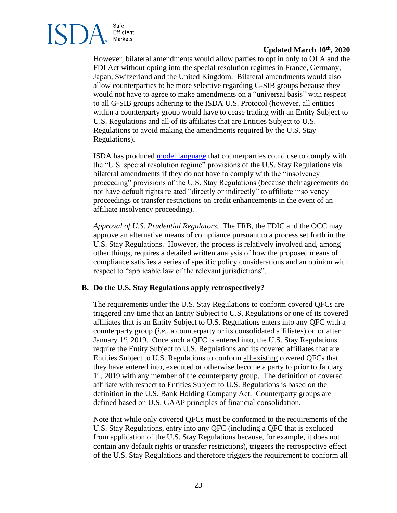

However, bilateral amendments would allow parties to opt in only to OLA and the FDI Act without opting into the special resolution regimes in France, Germany, Japan, Switzerland and the United Kingdom. Bilateral amendments would also allow counterparties to be more selective regarding G-SIB groups because they would not have to agree to make amendments on a "universal basis" with respect to all G-SIB groups adhering to the ISDA U.S. Protocol (however, all entities within a counterparty group would have to cease trading with an Entity Subject to U.S. Regulations and all of its affiliates that are Entities Subject to U.S. Regulations to avoid making the amendments required by the U.S. Stay Regulations).

ISDA has produced [model language](https://www.isda.org/a/gZjEE/Standard-Language-Part-I-of-US-Stay-Regulations.pdf) that counterparties could use to comply with the "U.S. special resolution regime" provisions of the U.S. Stay Regulations via bilateral amendments if they do not have to comply with the "insolvency proceeding" provisions of the U.S. Stay Regulations (because their agreements do not have default rights related "directly or indirectly" to affiliate insolvency proceedings or transfer restrictions on credit enhancements in the event of an affiliate insolvency proceeding).

*Approval of U.S. Prudential Regulators.* The FRB, the FDIC and the OCC may approve an alternative means of compliance pursuant to a process set forth in the U.S. Stay Regulations. However, the process is relatively involved and, among other things, requires a detailed written analysis of how the proposed means of compliance satisfies a series of specific policy considerations and an opinion with respect to "applicable law of the relevant jurisdictions".

# **B. Do the U.S. Stay Regulations apply retrospectively?**

The requirements under the U.S. Stay Regulations to conform covered QFCs are triggered any time that an Entity Subject to U.S. Regulations or one of its covered affiliates that is an Entity Subject to U.S. Regulations enters into any QFC with a counterparty group (*i.e.*, a counterparty or its consolidated affiliates) on or after January  $1<sup>st</sup>$ , 2019. Once such a QFC is entered into, the U.S. Stay Regulations require the Entity Subject to U.S. Regulations and its covered affiliates that are Entities Subject to U.S. Regulations to conform all existing covered QFCs that they have entered into, executed or otherwise become a party to prior to January 1<sup>st</sup>, 2019 with any member of the counterparty group. The definition of covered affiliate with respect to Entities Subject to U.S. Regulations is based on the definition in the U.S. Bank Holding Company Act. Counterparty groups are defined based on U.S. GAAP principles of financial consolidation.

Note that while only covered QFCs must be conformed to the requirements of the U.S. Stay Regulations, entry into any QFC (including a QFC that is excluded from application of the U.S. Stay Regulations because, for example, it does not contain any default rights or transfer restrictions), triggers the retrospective effect of the U.S. Stay Regulations and therefore triggers the requirement to conform all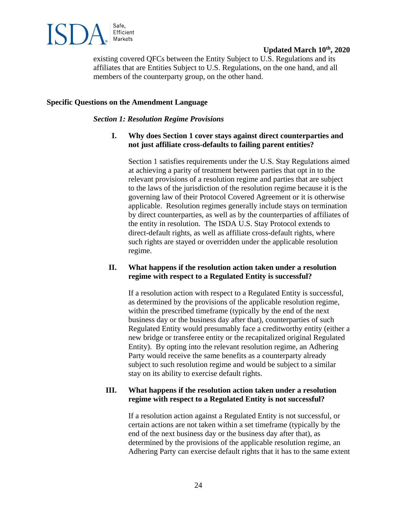

existing covered QFCs between the Entity Subject to U.S. Regulations and its affiliates that are Entities Subject to U.S. Regulations, on the one hand, and all members of the counterparty group, on the other hand.

### **Specific Questions on the Amendment Language**

#### *Section 1: Resolution Regime Provisions*

## **I. Why does Section 1 cover stays against direct counterparties and not just affiliate cross-defaults to failing parent entities?**

Section 1 satisfies requirements under the U.S. Stay Regulations aimed at achieving a parity of treatment between parties that opt in to the relevant provisions of a resolution regime and parties that are subject to the laws of the jurisdiction of the resolution regime because it is the governing law of their Protocol Covered Agreement or it is otherwise applicable. Resolution regimes generally include stays on termination by direct counterparties, as well as by the counterparties of affiliates of the entity in resolution. The ISDA U.S. Stay Protocol extends to direct-default rights, as well as affiliate cross-default rights, where such rights are stayed or overridden under the applicable resolution regime.

### **II. What happens if the resolution action taken under a resolution regime with respect to a Regulated Entity is successful?**

If a resolution action with respect to a Regulated Entity is successful, as determined by the provisions of the applicable resolution regime, within the prescribed timeframe (typically by the end of the next business day or the business day after that), counterparties of such Regulated Entity would presumably face a creditworthy entity (either a new bridge or transferee entity or the recapitalized original Regulated Entity). By opting into the relevant resolution regime, an Adhering Party would receive the same benefits as a counterparty already subject to such resolution regime and would be subject to a similar stay on its ability to exercise default rights.

### **III. What happens if the resolution action taken under a resolution regime with respect to a Regulated Entity is not successful?**

If a resolution action against a Regulated Entity is not successful, or certain actions are not taken within a set timeframe (typically by the end of the next business day or the business day after that), as determined by the provisions of the applicable resolution regime, an Adhering Party can exercise default rights that it has to the same extent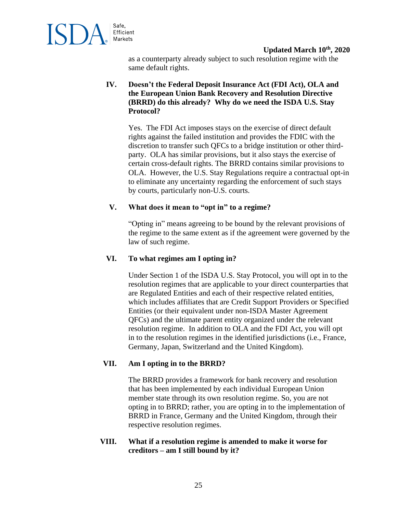

as a counterparty already subject to such resolution regime with the same default rights.

# **IV. Doesn't the Federal Deposit Insurance Act (FDI Act), OLA and the European Union Bank Recovery and Resolution Directive (BRRD) do this already? Why do we need the ISDA U.S. Stay Protocol?**

Yes. The FDI Act imposes stays on the exercise of direct default rights against the failed institution and provides the FDIC with the discretion to transfer such QFCs to a bridge institution or other thirdparty. OLA has similar provisions, but it also stays the exercise of certain cross-default rights. The BRRD contains similar provisions to OLA. However, the U.S. Stay Regulations require a contractual opt-in to eliminate any uncertainty regarding the enforcement of such stays by courts, particularly non-U.S. courts.

## **V. What does it mean to "opt in" to a regime?**

"Opting in" means agreeing to be bound by the relevant provisions of the regime to the same extent as if the agreement were governed by the law of such regime.

# **VI. To what regimes am I opting in?**

Under Section 1 of the ISDA U.S. Stay Protocol, you will opt in to the resolution regimes that are applicable to your direct counterparties that are Regulated Entities and each of their respective related entities, which includes affiliates that are Credit Support Providers or Specified Entities (or their equivalent under non-ISDA Master Agreement QFCs) and the ultimate parent entity organized under the relevant resolution regime. In addition to OLA and the FDI Act, you will opt in to the resolution regimes in the identified jurisdictions (i.e., France, Germany, Japan, Switzerland and the United Kingdom).

# **VII. Am I opting in to the BRRD?**

The BRRD provides a framework for bank recovery and resolution that has been implemented by each individual European Union member state through its own resolution regime. So, you are not opting in to BRRD; rather, you are opting in to the implementation of BRRD in France, Germany and the United Kingdom, through their respective resolution regimes.

## **VIII. What if a resolution regime is amended to make it worse for creditors – am I still bound by it?**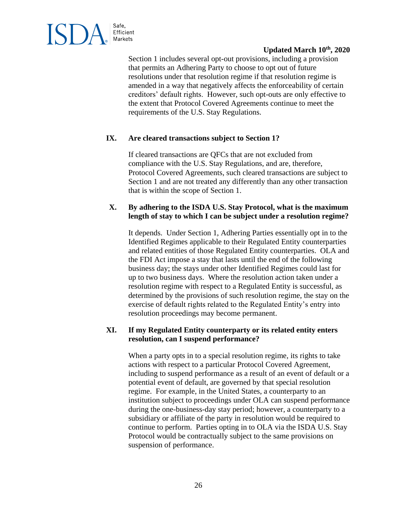

Section 1 includes several opt-out provisions, including a provision that permits an Adhering Party to choose to opt out of future resolutions under that resolution regime if that resolution regime is amended in a way that negatively affects the enforceability of certain creditors' default rights. However, such opt-outs are only effective to the extent that Protocol Covered Agreements continue to meet the requirements of the U.S. Stay Regulations.

# **IX. Are cleared transactions subject to Section 1?**

If cleared transactions are QFCs that are not excluded from compliance with the U.S. Stay Regulations, and are, therefore, Protocol Covered Agreements, such cleared transactions are subject to Section 1 and are not treated any differently than any other transaction that is within the scope of Section 1.

### **X. By adhering to the ISDA U.S. Stay Protocol, what is the maximum length of stay to which I can be subject under a resolution regime?**

It depends. Under Section 1, Adhering Parties essentially opt in to the Identified Regimes applicable to their Regulated Entity counterparties and related entities of those Regulated Entity counterparties. OLA and the FDI Act impose a stay that lasts until the end of the following business day; the stays under other Identified Regimes could last for up to two business days. Where the resolution action taken under a resolution regime with respect to a Regulated Entity is successful, as determined by the provisions of such resolution regime, the stay on the exercise of default rights related to the Regulated Entity's entry into resolution proceedings may become permanent.

## **XI. If my Regulated Entity counterparty or its related entity enters resolution, can I suspend performance?**

When a party opts in to a special resolution regime, its rights to take actions with respect to a particular Protocol Covered Agreement, including to suspend performance as a result of an event of default or a potential event of default, are governed by that special resolution regime. For example, in the United States, a counterparty to an institution subject to proceedings under OLA can suspend performance during the one-business-day stay period; however, a counterparty to a subsidiary or affiliate of the party in resolution would be required to continue to perform. Parties opting in to OLA via the ISDA U.S. Stay Protocol would be contractually subject to the same provisions on suspension of performance.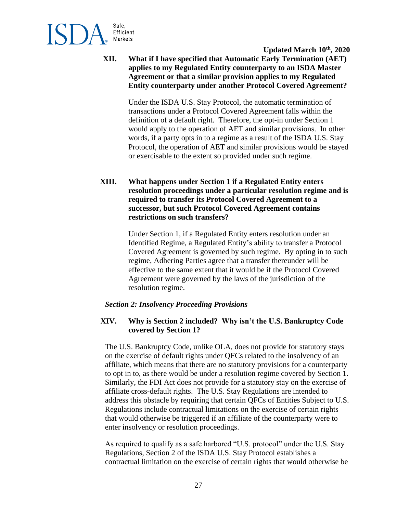

**XII. What if I have specified that Automatic Early Termination (AET) applies to my Regulated Entity counterparty to an ISDA Master Agreement or that a similar provision applies to my Regulated Entity counterparty under another Protocol Covered Agreement?**

> Under the ISDA U.S. Stay Protocol, the automatic termination of transactions under a Protocol Covered Agreement falls within the definition of a default right. Therefore, the opt-in under Section 1 would apply to the operation of AET and similar provisions. In other words, if a party opts in to a regime as a result of the ISDA U.S. Stay Protocol, the operation of AET and similar provisions would be stayed or exercisable to the extent so provided under such regime.

**XIII. What happens under Section 1 if a Regulated Entity enters resolution proceedings under a particular resolution regime and is required to transfer its Protocol Covered Agreement to a successor, but such Protocol Covered Agreement contains restrictions on such transfers?**

> Under Section 1, if a Regulated Entity enters resolution under an Identified Regime, a Regulated Entity's ability to transfer a Protocol Covered Agreement is governed by such regime. By opting in to such regime, Adhering Parties agree that a transfer thereunder will be effective to the same extent that it would be if the Protocol Covered Agreement were governed by the laws of the jurisdiction of the resolution regime.

#### *Section 2: Insolvency Proceeding Provisions*

## **XIV. Why is Section 2 included? Why isn't the U.S. Bankruptcy Code covered by Section 1?**

The U.S. Bankruptcy Code, unlike OLA, does not provide for statutory stays on the exercise of default rights under QFCs related to the insolvency of an affiliate, which means that there are no statutory provisions for a counterparty to opt in to, as there would be under a resolution regime covered by Section 1. Similarly, the FDI Act does not provide for a statutory stay on the exercise of affiliate cross-default rights. The U.S. Stay Regulations are intended to address this obstacle by requiring that certain QFCs of Entities Subject to U.S. Regulations include contractual limitations on the exercise of certain rights that would otherwise be triggered if an affiliate of the counterparty were to enter insolvency or resolution proceedings.

As required to qualify as a safe harbored "U.S. protocol" under the U.S. Stay Regulations, Section 2 of the ISDA U.S. Stay Protocol establishes a contractual limitation on the exercise of certain rights that would otherwise be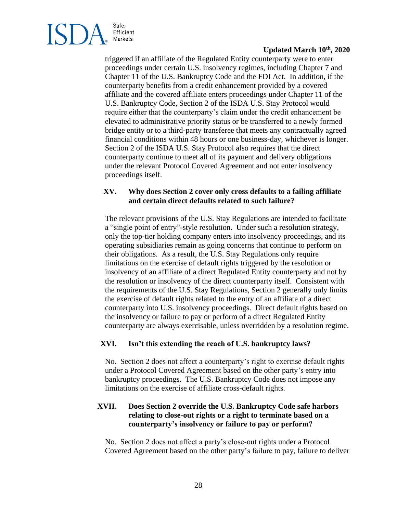

triggered if an affiliate of the Regulated Entity counterparty were to enter proceedings under certain U.S. insolvency regimes, including Chapter 7 and Chapter 11 of the U.S. Bankruptcy Code and the FDI Act. In addition, if the counterparty benefits from a credit enhancement provided by a covered affiliate and the covered affiliate enters proceedings under Chapter 11 of the U.S. Bankruptcy Code, Section 2 of the ISDA U.S. Stay Protocol would require either that the counterparty's claim under the credit enhancement be elevated to administrative priority status or be transferred to a newly formed bridge entity or to a third-party transferee that meets any contractually agreed financial conditions within 48 hours or one business-day, whichever is longer. Section 2 of the ISDA U.S. Stay Protocol also requires that the direct counterparty continue to meet all of its payment and delivery obligations under the relevant Protocol Covered Agreement and not enter insolvency proceedings itself.

## **XV. Why does Section 2 cover only cross defaults to a failing affiliate and certain direct defaults related to such failure?**

The relevant provisions of the U.S. Stay Regulations are intended to facilitate a "single point of entry"-style resolution. Under such a resolution strategy, only the top-tier holding company enters into insolvency proceedings, and its operating subsidiaries remain as going concerns that continue to perform on their obligations. As a result, the U.S. Stay Regulations only require limitations on the exercise of default rights triggered by the resolution or insolvency of an affiliate of a direct Regulated Entity counterparty and not by the resolution or insolvency of the direct counterparty itself. Consistent with the requirements of the U.S. Stay Regulations, Section 2 generally only limits the exercise of default rights related to the entry of an affiliate of a direct counterparty into U.S. insolvency proceedings. Direct default rights based on the insolvency or failure to pay or perform of a direct Regulated Entity counterparty are always exercisable, unless overridden by a resolution regime.

# **XVI. Isn't this extending the reach of U.S. bankruptcy laws?**

No. Section 2 does not affect a counterparty's right to exercise default rights under a Protocol Covered Agreement based on the other party's entry into bankruptcy proceedings. The U.S. Bankruptcy Code does not impose any limitations on the exercise of affiliate cross-default rights.

# **XVII. Does Section 2 override the U.S. Bankruptcy Code safe harbors relating to close-out rights or a right to terminate based on a counterparty's insolvency or failure to pay or perform?**

No. Section 2 does not affect a party's close-out rights under a Protocol Covered Agreement based on the other party's failure to pay, failure to deliver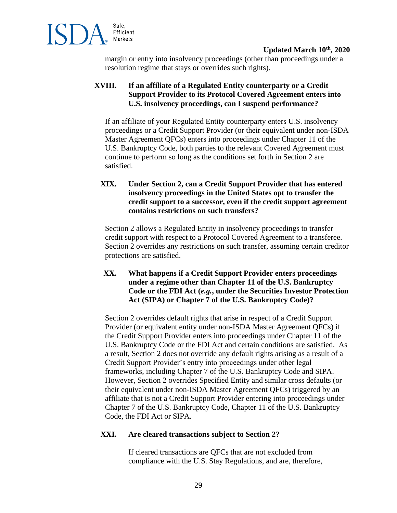

margin or entry into insolvency proceedings (other than proceedings under a resolution regime that stays or overrides such rights).

# **XVIII. If an affiliate of a Regulated Entity counterparty or a Credit Support Provider to its Protocol Covered Agreement enters into U.S. insolvency proceedings, can I suspend performance?**

If an affiliate of your Regulated Entity counterparty enters U.S. insolvency proceedings or a Credit Support Provider (or their equivalent under non-ISDA Master Agreement QFCs) enters into proceedings under Chapter 11 of the U.S. Bankruptcy Code, both parties to the relevant Covered Agreement must continue to perform so long as the conditions set forth in Section 2 are satisfied.

# **XIX. Under Section 2, can a Credit Support Provider that has entered insolvency proceedings in the United States opt to transfer the credit support to a successor, even if the credit support agreement contains restrictions on such transfers?**

Section 2 allows a Regulated Entity in insolvency proceedings to transfer credit support with respect to a Protocol Covered Agreement to a transferee. Section 2 overrides any restrictions on such transfer, assuming certain creditor protections are satisfied.

## **XX. What happens if a Credit Support Provider enters proceedings under a regime other than Chapter 11 of the U.S. Bankruptcy Code or the FDI Act (***e.g.***, under the Securities Investor Protection Act (SIPA) or Chapter 7 of the U.S. Bankruptcy Code)?**

Section 2 overrides default rights that arise in respect of a Credit Support Provider (or equivalent entity under non-ISDA Master Agreement QFCs) if the Credit Support Provider enters into proceedings under Chapter 11 of the U.S. Bankruptcy Code or the FDI Act and certain conditions are satisfied. As a result, Section 2 does not override any default rights arising as a result of a Credit Support Provider's entry into proceedings under other legal frameworks, including Chapter 7 of the U.S. Bankruptcy Code and SIPA. However, Section 2 overrides Specified Entity and similar cross defaults (or their equivalent under non-ISDA Master Agreement QFCs) triggered by an affiliate that is not a Credit Support Provider entering into proceedings under Chapter 7 of the U.S. Bankruptcy Code, Chapter 11 of the U.S. Bankruptcy Code, the FDI Act or SIPA.

# **XXI. Are cleared transactions subject to Section 2?**

If cleared transactions are QFCs that are not excluded from compliance with the U.S. Stay Regulations, and are, therefore,